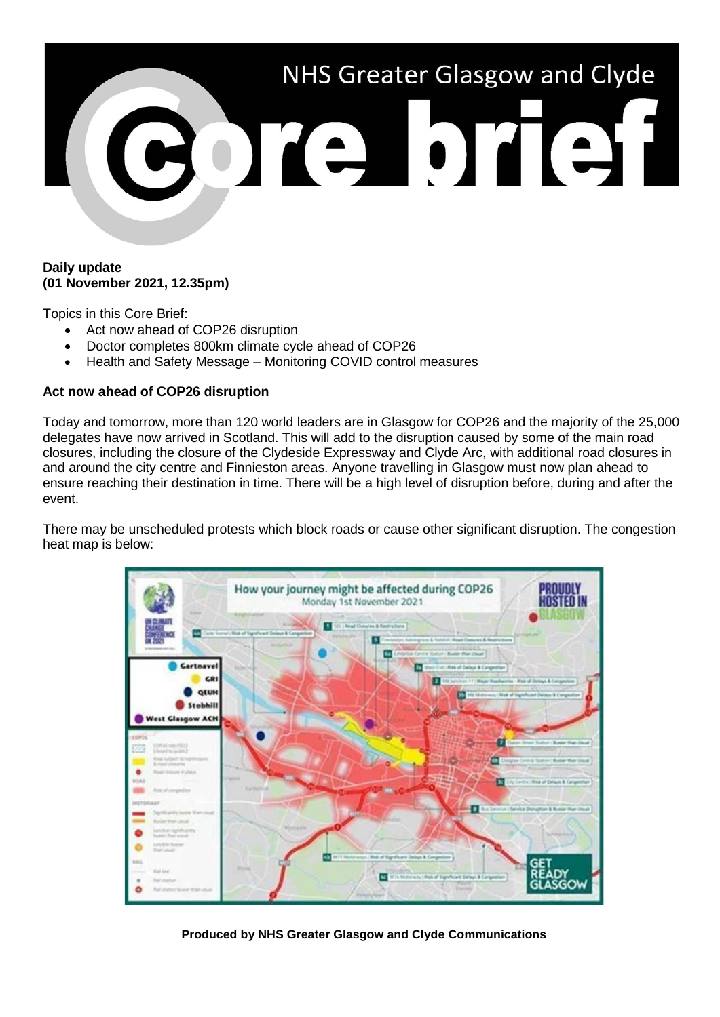

### **Daily update (01 November 2021, 12.35pm)**

Topics in this Core Brief:

- Act now ahead of COP26 disruption
- Doctor completes 800km climate cycle ahead of COP26
- Health and Safety Message Monitoring COVID control measures

## **Act now ahead of COP26 disruption**

Today and tomorrow, more than 120 world leaders are in Glasgow for COP26 and the majority of the 25,000 delegates have now arrived in Scotland. This will add to the disruption caused by some of the main road closures, including the closure of the Clydeside Expressway and Clyde Arc, with additional road closures in and around the city centre and Finnieston areas. Anyone travelling in Glasgow must now plan ahead to ensure reaching their destination in time. There will be a high level of disruption before, during and after the event.

There may be unscheduled protests which block roads or cause other significant disruption. The congestion heat map is below:



**Produced by NHS Greater Glasgow and Clyde Communications**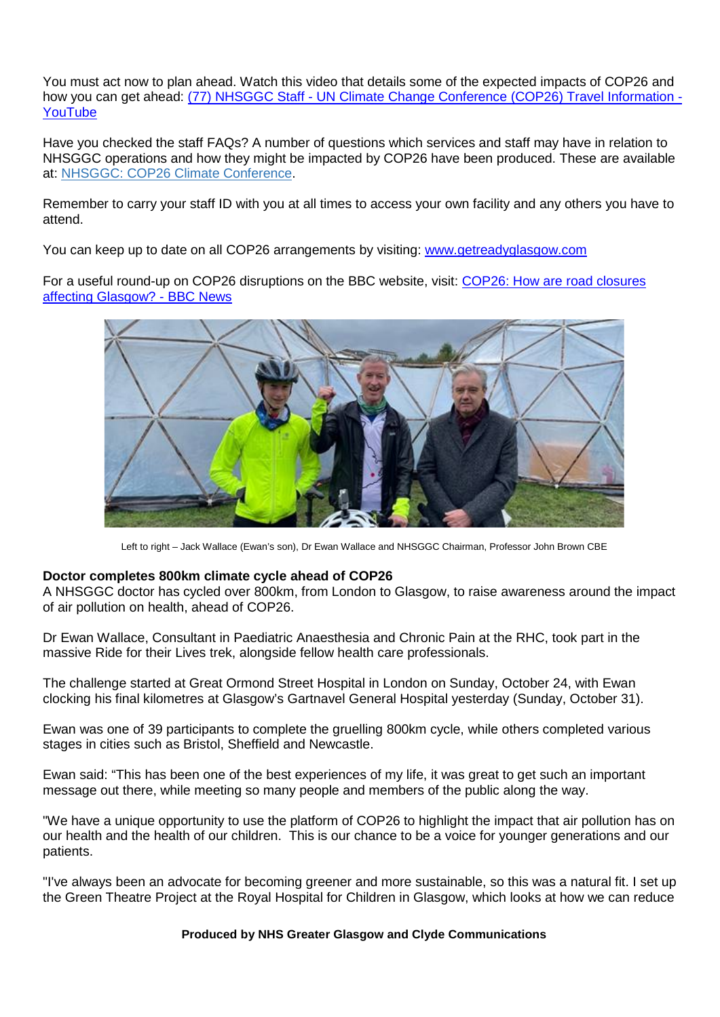You must act now to plan ahead. Watch this video that details some of the expected impacts of COP26 and how you can get ahead: (77) NHSGGC Staff - [UN Climate Change Conference \(COP26\) Travel Information -](https://www.youtube.com/watch?v=XshPABt9qlE&t=4s) [YouTube](https://www.youtube.com/watch?v=XshPABt9qlE&t=4s)

Have you checked the staff FAQs? A number of questions which services and staff may have in relation to NHSGGC operations and how they might be impacted by COP26 have been produced. These are available at: [NHSGGC: COP26 Climate Conference.](https://www.nhsggc.org.uk/about-us/cop26-conference/staff-information/)

Remember to carry your staff ID with you at all times to access your own facility and any others you have to attend.

You can keep up to date on all COP26 arrangements by visiting: [www.getreadyglasgow.com](http://www.getreadyglasgow.com/)

For a useful round-up on COP26 disruptions on the BBC website, visit: [COP26: How are road closures](https://www.bbc.co.uk/news/uk-scotland-58809709)  [affecting Glasgow? -](https://www.bbc.co.uk/news/uk-scotland-58809709) BBC News



Left to right – Jack Wallace (Ewan's son), Dr Ewan Wallace and NHSGGC Chairman, Professor John Brown CBE

#### **Doctor completes 800km climate cycle ahead of COP26**

A NHSGGC doctor has cycled over 800km, from London to Glasgow, to raise awareness around the impact of air pollution on health, ahead of COP26.

Dr Ewan Wallace, Consultant in Paediatric Anaesthesia and Chronic Pain at the RHC, took part in the massive Ride for their Lives trek, alongside fellow health care professionals.

The challenge started at Great Ormond Street Hospital in London on Sunday, October 24, with Ewan clocking his final kilometres at Glasgow's Gartnavel General Hospital yesterday (Sunday, October 31).

Ewan was one of 39 participants to complete the gruelling 800km cycle, while others completed various stages in cities such as Bristol, Sheffield and Newcastle.

Ewan said: "This has been one of the best experiences of my life, it was great to get such an important message out there, while meeting so many people and members of the public along the way.

"We have a unique opportunity to use the platform of COP26 to highlight the impact that air pollution has on our health and the health of our children. This is our chance to be a voice for younger generations and our patients.

"I've always been an advocate for becoming greener and more sustainable, so this was a natural fit. I set up the Green Theatre Project at the Royal Hospital for Children in Glasgow, which looks at how we can reduce

#### **Produced by NHS Greater Glasgow and Clyde Communications**